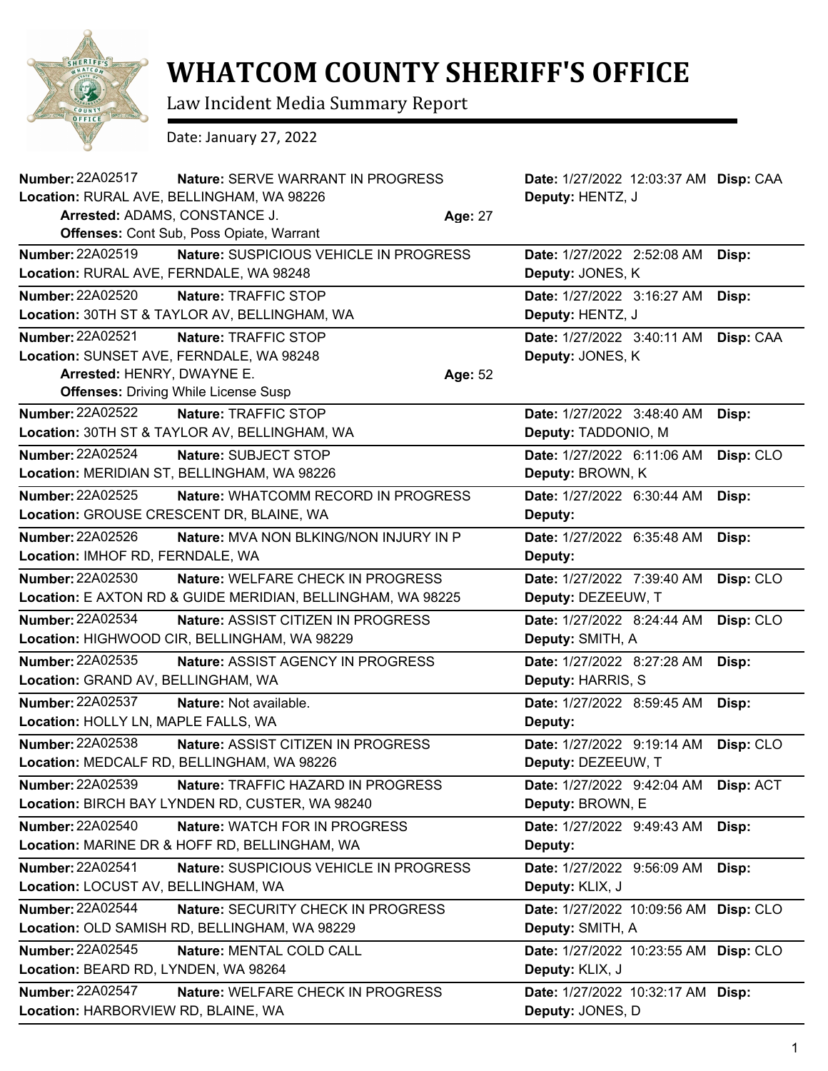

## **WHATCOM COUNTY SHERIFF'S OFFICE**

Law Incident Media Summary Report

Date: January 27, 2022

| Number: 22A02517<br>Nature: SERVE WARRANT IN PROGRESS                                       | Date: 1/27/2022 12:03:37 AM Disp: CAA |           |
|---------------------------------------------------------------------------------------------|---------------------------------------|-----------|
| Location: RURAL AVE, BELLINGHAM, WA 98226                                                   | Deputy: HENTZ, J                      |           |
| Arrested: ADAMS, CONSTANCE J.<br>Age: 27<br><b>Offenses: Cont Sub, Poss Opiate, Warrant</b> |                                       |           |
|                                                                                             |                                       |           |
| <b>Number: 22A02519</b><br>Nature: SUSPICIOUS VEHICLE IN PROGRESS                           | Date: 1/27/2022 2:52:08 AM            | Disp:     |
| Location: RURAL AVE, FERNDALE, WA 98248                                                     | Deputy: JONES, K                      |           |
| Number: 22A02520<br>Nature: TRAFFIC STOP                                                    | Date: 1/27/2022 3:16:27 AM            | Disp:     |
| Location: 30TH ST & TAYLOR AV, BELLINGHAM, WA                                               | Deputy: HENTZ, J                      |           |
| <b>Number: 22A02521</b><br>Nature: TRAFFIC STOP                                             | Date: 1/27/2022 3:40:11 AM            | Disp: CAA |
| Location: SUNSET AVE, FERNDALE, WA 98248                                                    | Deputy: JONES, K                      |           |
| Arrested: HENRY, DWAYNE E.<br>Age: 52                                                       |                                       |           |
| <b>Offenses: Driving While License Susp</b>                                                 |                                       |           |
| <b>Number: 22A02522</b><br>Nature: TRAFFIC STOP                                             | Date: 1/27/2022 3:48:40 AM            | Disp:     |
| Location: 30TH ST & TAYLOR AV, BELLINGHAM, WA                                               | Deputy: TADDONIO, M                   |           |
| <b>Number: 22A02524</b><br>Nature: SUBJECT STOP                                             | Date: 1/27/2022 6:11:06 AM            | Disp: CLO |
| Location: MERIDIAN ST, BELLINGHAM, WA 98226                                                 | Deputy: BROWN, K                      |           |
| <b>Number: 22A02525</b><br>Nature: WHATCOMM RECORD IN PROGRESS                              | Date: 1/27/2022 6:30:44 AM            | Disp:     |
| Location: GROUSE CRESCENT DR, BLAINE, WA                                                    | Deputy:                               |           |
| Number: 22A02526<br>Nature: MVA NON BLKING/NON INJURY IN P                                  | Date: 1/27/2022 6:35:48 AM            | Disp:     |
| Location: IMHOF RD, FERNDALE, WA                                                            | Deputy:                               |           |
| Number: 22A02530<br>Nature: WELFARE CHECK IN PROGRESS                                       | Date: 1/27/2022 7:39:40 AM            | Disp: CLO |
| Location: E AXTON RD & GUIDE MERIDIAN, BELLINGHAM, WA 98225                                 | Deputy: DEZEEUW, T                    |           |
| Number: 22A02534<br><b>Nature: ASSIST CITIZEN IN PROGRESS</b>                               | Date: 1/27/2022 8:24:44 AM            | Disp: CLO |
| Location: HIGHWOOD CIR, BELLINGHAM, WA 98229                                                | Deputy: SMITH, A                      |           |
| Number: 22A02535<br>Nature: ASSIST AGENCY IN PROGRESS                                       | Date: 1/27/2022 8:27:28 AM            | Disp:     |
| Location: GRAND AV, BELLINGHAM, WA                                                          | Deputy: HARRIS, S                     |           |
| <b>Number: 22A02537</b><br>Nature: Not available.                                           | Date: 1/27/2022 8:59:45 AM            | Disp:     |
| Location: HOLLY LN, MAPLE FALLS, WA                                                         | Deputy:                               |           |
| <b>Number: 22A02538</b><br>Nature: ASSIST CITIZEN IN PROGRESS                               | Date: 1/27/2022 9:19:14 AM            | Disp: CLO |
| Location: MEDCALF RD, BELLINGHAM, WA 98226                                                  | Deputy: DEZEEUW, T                    |           |
| Number: 22A02539<br>Nature: TRAFFIC HAZARD IN PROGRESS                                      | Date: 1/27/2022 9:42:04 AM            | Disp: ACT |
| Location: BIRCH BAY LYNDEN RD, CUSTER, WA 98240                                             | Deputy: BROWN, E                      |           |
| <b>Number: 22A02540</b><br>Nature: WATCH FOR IN PROGRESS                                    | Date: 1/27/2022 9:49:43 AM            | Disp:     |
| Location: MARINE DR & HOFF RD, BELLINGHAM, WA                                               | Deputy:                               |           |
| Number: 22A02541<br>Nature: SUSPICIOUS VEHICLE IN PROGRESS                                  | Date: 1/27/2022 9:56:09 AM            | Disp:     |
| Location: LOCUST AV, BELLINGHAM, WA                                                         | Deputy: KLIX, J                       |           |
| Number: 22A02544<br>Nature: SECURITY CHECK IN PROGRESS                                      | Date: 1/27/2022 10:09:56 AM           | Disp: CLO |
| Location: OLD SAMISH RD, BELLINGHAM, WA 98229                                               | Deputy: SMITH, A                      |           |
| Number: 22A02545<br>Nature: MENTAL COLD CALL                                                | Date: 1/27/2022 10:23:55 AM Disp: CLO |           |
| Location: BEARD RD, LYNDEN, WA 98264                                                        | Deputy: KLIX, J                       |           |
| Number: 22A02547<br>Nature: WELFARE CHECK IN PROGRESS                                       | Date: 1/27/2022 10:32:17 AM Disp:     |           |
| Location: HARBORVIEW RD, BLAINE, WA                                                         | Deputy: JONES, D                      |           |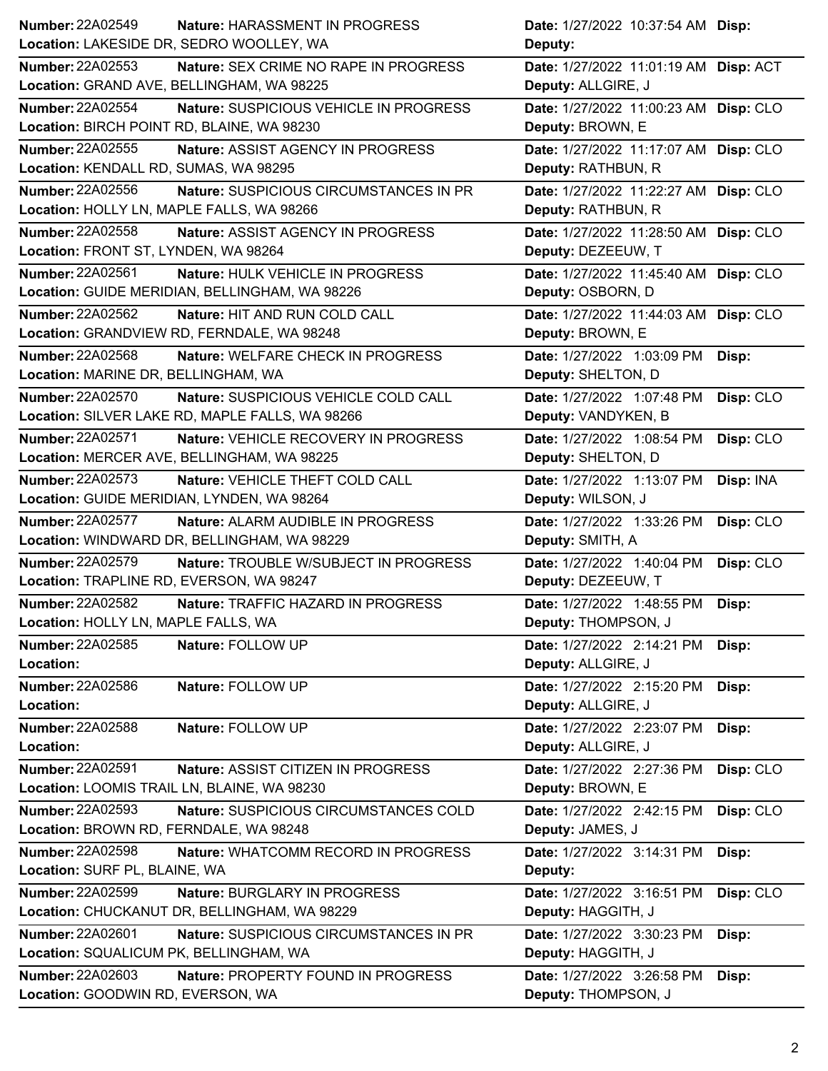| Number: 22A02549                            | Nature: HARASSMENT IN PROGRESS                  | <b>Date:</b> 1/27/2022 10:37:54 AM <b>Disp:</b> |           |
|---------------------------------------------|-------------------------------------------------|-------------------------------------------------|-----------|
| Location: LAKESIDE DR, SEDRO WOOLLEY, WA    |                                                 | Deputy:                                         |           |
| <b>Number: 22A02553</b>                     | Nature: SEX CRIME NO RAPE IN PROGRESS           | Date: 1/27/2022 11:01:19 AM Disp: ACT           |           |
| Location: GRAND AVE, BELLINGHAM, WA 98225   |                                                 | Deputy: ALLGIRE, J                              |           |
| <b>Number: 22A02554</b>                     | Nature: SUSPICIOUS VEHICLE IN PROGRESS          | Date: 1/27/2022 11:00:23 AM Disp: CLO           |           |
| Location: BIRCH POINT RD, BLAINE, WA 98230  |                                                 | Deputy: BROWN, E                                |           |
| Number: 22A02555                            | Nature: ASSIST AGENCY IN PROGRESS               | Date: 1/27/2022 11:17:07 AM Disp: CLO           |           |
| Location: KENDALL RD, SUMAS, WA 98295       |                                                 | Deputy: RATHBUN, R                              |           |
| Number: 22A02556                            | Nature: SUSPICIOUS CIRCUMSTANCES IN PR          | Date: 1/27/2022 11:22:27 AM Disp: CLO           |           |
| Location: HOLLY LN, MAPLE FALLS, WA 98266   |                                                 | Deputy: RATHBUN, R                              |           |
| Number: 22A02558                            | Nature: ASSIST AGENCY IN PROGRESS               | Date: 1/27/2022 11:28:50 AM Disp: CLO           |           |
| Location: FRONT ST, LYNDEN, WA 98264        |                                                 | Deputy: DEZEEUW, T                              |           |
| Number: 22A02561                            | Nature: HULK VEHICLE IN PROGRESS                | Date: 1/27/2022 11:45:40 AM Disp: CLO           |           |
|                                             | Location: GUIDE MERIDIAN, BELLINGHAM, WA 98226  | Deputy: OSBORN, D                               |           |
| Number: 22A02562                            | Nature: HIT AND RUN COLD CALL                   | Date: 1/27/2022 11:44:03 AM Disp: CLO           |           |
|                                             | Location: GRANDVIEW RD, FERNDALE, WA 98248      | Deputy: BROWN, E                                |           |
| <b>Number: 22A02568</b>                     | Nature: WELFARE CHECK IN PROGRESS               | Date: 1/27/2022 1:03:09 PM                      | Disp:     |
| Location: MARINE DR, BELLINGHAM, WA         |                                                 | Deputy: SHELTON, D                              |           |
| Number: 22A02570                            | Nature: SUSPICIOUS VEHICLE COLD CALL            | Date: 1/27/2022 1:07:48 PM                      | Disp: CLO |
|                                             | Location: SILVER LAKE RD, MAPLE FALLS, WA 98266 | Deputy: VANDYKEN, B                             |           |
| <b>Number: 22A02571</b>                     | Nature: VEHICLE RECOVERY IN PROGRESS            | Date: 1/27/2022 1:08:54 PM                      | Disp: CLO |
|                                             | Location: MERCER AVE, BELLINGHAM, WA 98225      | Deputy: SHELTON, D                              |           |
| Number: 22A02573                            | Nature: VEHICLE THEFT COLD CALL                 | Date: 1/27/2022 1:13:07 PM                      | Disp: INA |
| Location: GUIDE MERIDIAN, LYNDEN, WA 98264  |                                                 | Deputy: WILSON, J                               |           |
| <b>Number: 22A02577</b>                     | Nature: ALARM AUDIBLE IN PROGRESS               | Date: 1/27/2022 1:33:26 PM                      | Disp: CLO |
|                                             | Location: WINDWARD DR, BELLINGHAM, WA 98229     | Deputy: SMITH, A                                |           |
| <b>Number: 22A02579</b>                     | Nature: TROUBLE W/SUBJECT IN PROGRESS           | Date: 1/27/2022 1:40:04 PM                      | Disp: CLO |
| Location: TRAPLINE RD, EVERSON, WA 98247    |                                                 | Deputy: DEZEEUW, T                              |           |
| <b>Number: 22A02582</b>                     | Nature: TRAFFIC HAZARD IN PROGRESS              | Date: 1/27/2022 1:48:55 PM                      | Disp:     |
| Location: HOLLY LN, MAPLE FALLS, WA         |                                                 | Deputy: THOMPSON, J                             |           |
| Number: 22A02585                            | Nature: FOLLOW UP                               | Date: 1/27/2022 2:14:21 PM                      | Disp:     |
| Location:                                   |                                                 | Deputy: ALLGIRE, J                              |           |
| Number: 22A02586                            | Nature: FOLLOW UP                               | Date: 1/27/2022 2:15:20 PM                      | Disp:     |
| Location:                                   |                                                 | Deputy: ALLGIRE, J                              |           |
| <b>Number: 22A02588</b>                     | Nature: FOLLOW UP                               | Date: 1/27/2022 2:23:07 PM                      | Disp:     |
| Location:                                   |                                                 | Deputy: ALLGIRE, J                              |           |
| <b>Number: 22A02591</b>                     | Nature: ASSIST CITIZEN IN PROGRESS              | Date: 1/27/2022 2:27:36 PM                      | Disp: CLO |
| Location: LOOMIS TRAIL LN, BLAINE, WA 98230 |                                                 | Deputy: BROWN, E                                |           |
| <b>Number: 22A02593</b>                     | Nature: SUSPICIOUS CIRCUMSTANCES COLD           | Date: 1/27/2022 2:42:15 PM                      | Disp: CLO |
| Location: BROWN RD, FERNDALE, WA 98248      |                                                 | Deputy: JAMES, J                                |           |
| <b>Number: 22A02598</b>                     | Nature: WHATCOMM RECORD IN PROGRESS             | Date: 1/27/2022 3:14:31 PM                      | Disp:     |
| Location: SURF PL, BLAINE, WA               |                                                 | Deputy:                                         |           |
| <b>Number: 22A02599</b>                     | Nature: BURGLARY IN PROGRESS                    | Date: 1/27/2022 3:16:51 PM                      | Disp: CLO |
|                                             | Location: CHUCKANUT DR, BELLINGHAM, WA 98229    | Deputy: HAGGITH, J                              |           |
| <b>Number: 22A02601</b>                     | Nature: SUSPICIOUS CIRCUMSTANCES IN PR          | Date: 1/27/2022 3:30:23 PM                      | Disp:     |
| Location: SQUALICUM PK, BELLINGHAM, WA      |                                                 | Deputy: HAGGITH, J                              |           |
| Number: 22A02603                            | Nature: PROPERTY FOUND IN PROGRESS              | Date: 1/27/2022 3:26:58 PM                      | Disp:     |
| Location: GOODWIN RD, EVERSON, WA           |                                                 | Deputy: THOMPSON, J                             |           |